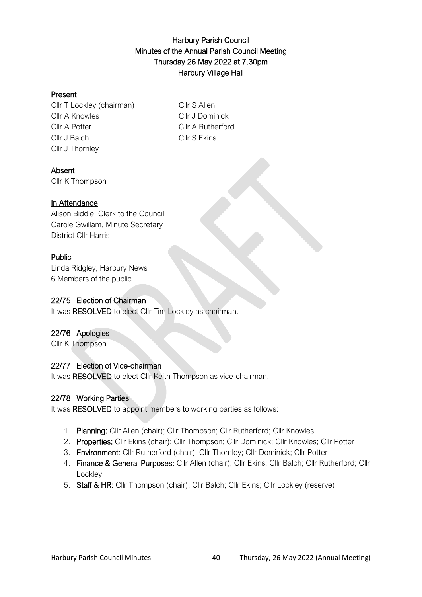# Harbury Parish Council Minutes of the Annual Parish Council Meeting Thursday 26 May 2022 at 7.30pm Harbury Village Hall

#### Present

Cllr T Lockley (chairman) Cllr S Allen Cllr A Knowles Cllr J Dominick Cllr A Potter Cllr A Rutherford Cllr J Balch Cllr S Ekins Cllr J Thornley

#### Absent

Cllr K Thompson

# In Attendance

Alison Biddle, Clerk to the Council Carole Gwillam, Minute Secretary District Cllr Harris

# Public

Linda Ridgley, Harbury News 6 Members of the public

#### 22/75 Election of Chairman

It was RESOLVED to elect Cllr Tim Lockley as chairman.

# 22/76 Apologies

Cllr K Thompson

# 22/77 Election of Vice-chairman

It was RESOLVED to elect Cllr Keith Thompson as vice-chairman.

# 22/78 Working Parties

It was RESOLVED to appoint members to working parties as follows:

- 1. Planning: Cllr Allen (chair); Cllr Thompson; Cllr Rutherford; Cllr Knowles
- 2. Properties: Cllr Ekins (chair); Cllr Thompson; Cllr Dominick; Cllr Knowles; Cllr Potter
- 3. Environment: Cllr Rutherford (chair); Cllr Thornley; Cllr Dominick; Cllr Potter
- 4. Finance & General Purposes: Cllr Allen (chair); Cllr Ekins; Cllr Balch; Cllr Rutherford; Cllr **Lockley**
- 5. Staff & HR: Cllr Thompson (chair); Cllr Balch; Cllr Ekins; Cllr Lockley (reserve)